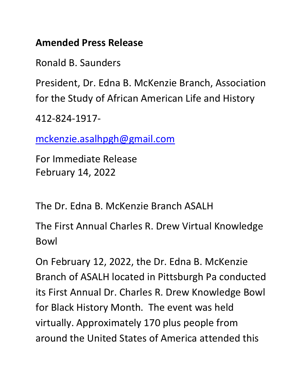## **Amended Press Release**

Ronald B. Saunders

President, Dr. Edna B. McKenzie Branch, Association for the Study of African American Life and History

412-824-1917-

[mckenzie.asalhpgh@gmail.com](mailto:mckenzie.asalhpgh@gmail.com)

For Immediate Release February 14, 2022

The Dr. Edna B. McKenzie Branch ASALH

The First Annual Charles R. Drew Virtual Knowledge Bowl

On February 12, 2022, the Dr. Edna B. McKenzie Branch of ASALH located in Pittsburgh Pa conducted its First Annual Dr. Charles R. Drew Knowledge Bowl for Black History Month. The event was held virtually. Approximately 170 plus people from around the United States of America attended this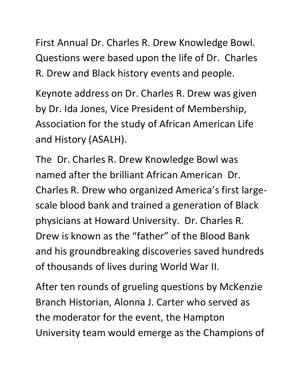First Annual Dr. Charles R. Drew Knowledge Bowl. Questions were based upon the life of Dr. Charles R. Drew and Black history events and people.

Keynote address on Dr. Charles R. Drew was given by Dr. Ida Jones, Vice President of Membership, Association for the study of African American Life and History (ASALH).

The Dr. Charles R. Drew Knowledge Bowl was named after the brilliant African American Dr. Charles R. Drew who organized America's first largescale blood bank and trained a generation of Black physicians at Howard University. Dr. Charles R. Drew is known as the "father" of the Blood Bank and his groundbreaking discoveries saved hundreds of thousands of lives during World War II.

After ten rounds of grueling questions by McKenzie Branch Historian, Alonna J. Carter who served as the moderator for the event, the Hampton University team would emerge as the Champions of